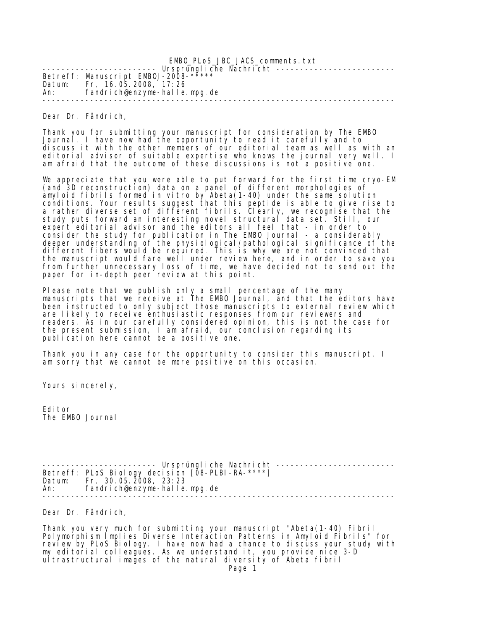EMBO\_PLoS\_JBC\_JACS\_comments.txt ----------------------- Ursprüngliche Nachricht -------------------------Betreff: Manuscript EMBOJ-2008-\* Datum: Fr, 16.05.2008, 17:26 fandrich@enzyme-halle.mpg.de --------------------------------------------------------------------------

Dear Dr. Fändrich,

Thank you for submitting your manuscript for consideration by The EMBO Journal. I have now had the opportunity to read it carefully and to discuss it with the other members of our editorial team as well as with an editorial advisor of suitable expertise who knows the journal very well. I am afraid that the outcome of these discussions is not a positive one.

We appreciate that you were able to put forward for the first time cryo-EM (and 3D reconstruction) data on a panel of different morphologies of amyloid fibrils formed in vitro by Abeta(1-40) under the same solution conditions. Your results suggest that this peptide is able to give rise to a rather diverse set of different fibrils. Clearly, we recognise that the study puts forward an interesting novel structural data set. Still, our expert editorial advisor and the editors all feel that - in order to consider the study for publication in The EMBO Journal - a considerably deeper understanding of the physiological/pathological significance of the different fibers would be required. This is why we are not convinced that the manuscript would fare well under review here, and in order to save you from further unnecessary loss of time, we have decided not to send out the paper for in-depth peer review at this point.

Please note that we publish only a small percentage of the many manuscripts that we receive at The EMBO Journal, and that the editors have been instructed to only subject those manuscripts to external review which are likely to receive enthusiastic responses from our reviewers and readers. As in our carefully considered opinion, this is not the case for the present submission, I am afraid, our conclusion regarding its publication here cannot be a positive one.

Thank you in any case for the opportunity to consider this manuscript. I am sorry that we cannot be more positive on this occasion.

Yours sincerely,

Editor The EMBO Journal

---------- Ursprüngliche Nachricht -------------------------Betreff: PLoS Biology decision [08-PLBI-RA-\*\*\*\*] Datum: Fr, 30.05.2008, 23:23 An: fandrich@enzyme-halle.mpg.de --------------------------------------------------------------------------

Dear Dr. Fändrich,

Thank you very much for submitting your manuscript "Abeta(1-40) Fibril Polymorphism Implies Diverse Interaction Patterns in Amyloid Fibrils" for review by PLoS Biology. I have now had a chance to discuss your study with my editorial colleagues. As we understand it, you provide nice 3-D ultrastructural images of the natural diversity of Abeta fibril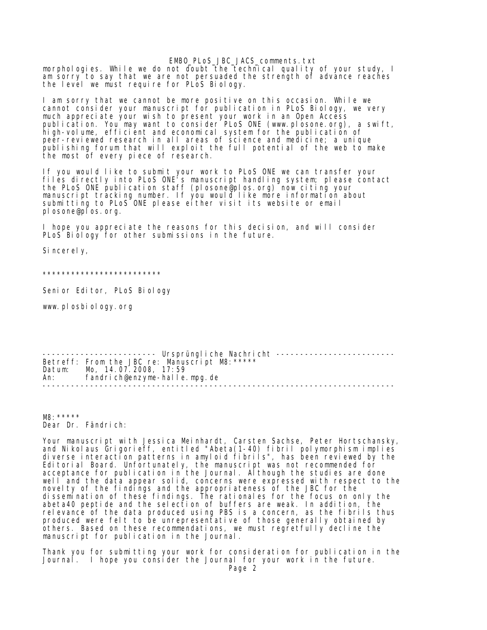EMBO\_PLoS\_JBC\_JACS\_comments.txt

morphologies. While we do not doubt the technical quality of your study, I am sorry to say that we are not persuaded the strength of advance reaches the level we must require for PLoS Biology.

I am sorry that we cannot be more positive on this occasion. While we cannot consider your manuscript for publication in PLoS Biology, we very much appreciate your wish to present your work in an Open Access publication. You may want to consider PLoS ONE (www.plosone.org), a swift, high-volume, efficient and economical system for the publication of peer-reviewed research in all areas of science and medicine; a unique publishing forum that will exploit the full potential of the web to make the most of every piece of research.

If you would like to submit your work to PLoS ONE we can transfer your files directly into PLoS ONE's manuscript handling system; please contact the PLoS ONE publication staff (plosone@plos.org) now citing your manuscript tracking number. If you would like more information about submitting to PLoS ONE please either visit its website or email plosone@plos.org.

I hope you appreciate the reasons for this decision, and will consider PLoS Biology for other submissions in the future.

Sincerely,

\*\*\*\*\*\*\*\*\*\*\*\*\*\*\*\*\*\*\*\*\*\*\*\*\*

Senior Editor, PLoS Biology

www.plosbiology.org

----------------------- Ursprüngliche Nachricht --------------------------Betreff: From the JBC re: Manuscript M8:\*\*\*\*\* Datum: Mo, 14.07.2008, 17:59 An: fandrich@enzyme-halle.mpg.de --------------------------------------------------------------------------

M8:\*\*\*\*\* Dear Dr. Fändrich:

Your manuscript with Jessica Meinhardt, Carsten Sachse, Peter Hortschansky, and Nikolaus Grigorieff, entitled "Abeta(1-40) fibril polymorphism implies diverse interaction patterns in amyloid fibrils", has been reviewed by the Editorial Board. Unfortunately, the manuscript was not recommended for acceptance for publication in the Journal. Although the studies are done well and the data appear solid, concerns were expressed with respect to the novelty of the findings and the appropriateness of the JBC for the dissemination of these findings. The rationales for the focus on only the abeta40 peptide and the selection of buffers are weak. In addition, the relevance of the data produced using PBS is a concern, as the fibrils thus produced were felt to be unrepresentative of those generally obtained by others. Based on these recommendations, we must regretfully decline the manuscript for publication in the Journal.

Thank you for submitting your work for consideration for publication in the Journal. I hope you consider the Journal for your work in the future.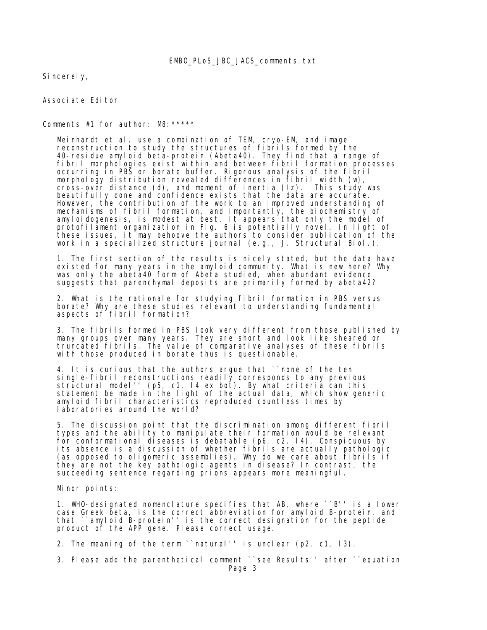Sincerely,

Associate Editor

Comments #1 for author: M8:\*\*\*\*\*

 Meinhardt et al. use a combination of TEM, cryo-EM, and image reconstruction to study the structures of fibrils formed by the 40-residue amyloid beta-protein (Abeta40). They find that a range of fibril morphologies exist within and between fibril formation processes occurring in PBS or borate buffer. Rigorous analysis of the fibril morphology distribution revealed differences in fibril width (w), cross-over distance (d), and moment of inertia (Iz). This study was beautifully done and confidence exists that the data are accurate. However, the contribution of the work to an improved understanding of mechanisms of fibril formation, and importantly, the biochemistry of amyloidogenesis, is modest at best. It appears that only the model of protofilament organization in Fig. 6 is potentially novel. In light of these issues, it may behoove the authors to consider publication of the work in a specialized structure journal (e.g., J. Structural Biol.).

 1. The first section of the results is nicely stated, but the data have existed for many years in the amyloid community. What is new here? Why was only the abeta40 form of Abeta studied, when abundant evidence suggests that parenchymal deposits are primarily formed by abeta42?

 2. What is the rationale for studying fibril formation in PBS versus borate? Why are these studies relevant to understanding fundamental aspects of fibril formation?

 3. The fibrils formed in PBS look very different from those published by many groups over many years. They are short and look like sheared or truncated fibrils. The value of comparative analyses of these fibrils with those produced in borate thus is questionable.

 4. It is curious that the authors argue that ``none of the ten single-fibril reconstructions readily corresponds to any previous structural model'' (p5, c1, l4 ex bot). By what criteria can this statement be made in the light of the actual data, which show generic amyloid fibril characteristics reproduced countless times by I aboratories around the world?

 5. The discussion point that the discrimination among different fibril types and the ability to manipulate their formation would be relevant for conformational diseases is debatable (p6, c2, l4). Conspicuous by its absence is a discussion of whether fibrils are actually pathologic (as opposed to oligomeric assemblies). Why do we care about fibrils if they are not the key pathologic agents in disease? In contrast, the succeeding sentence regarding prions appears more meaningful.

Minor points:

 1. WHO-designated nomenclature specifies that AB, where ``B'' is a lower case Greek beta, is the correct abbreviation for amyloid B-protein, and that ``amyloid B-protein'' is the correct designation for the peptide product of the APP gene. Please correct usage.

2. The meaning of the term ``natural'' is unclear (p2, c1, l3).

 3. Please add the parenthetical comment ``see Results'' after ``equation Page 3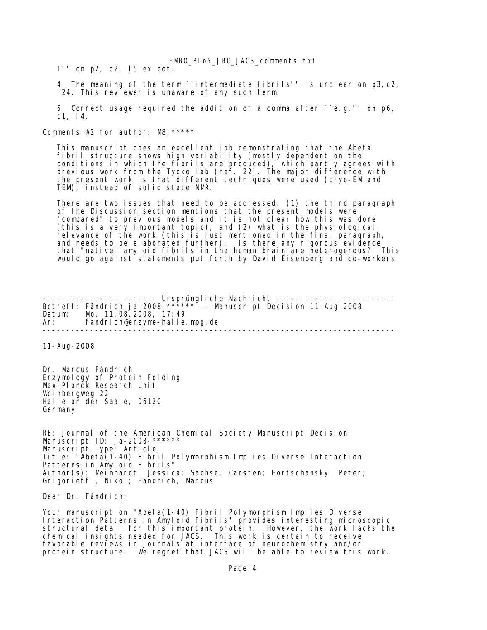EMBO\_PLoS\_JBC\_JACS\_comments.txt

1'' on p2, c2, l5 ex bot.

 4. The meaning of the term ``intermediate fibrils'' is unclear on p3,c2, l24. This reviewer is unaware of any such term.

 5. Correct usage required the addition of a comma after ``e.g.'' on p6, c1, l4.

Comments #2 for author: M8:\*\*\*\*\*

 This manuscript does an excellent job demonstrating that the Abeta fibril structure shows high variability (mostly dependent on the conditions in which the fibrils are produced), which partly agrees with previous work from the Tycko lab (ref. 22). The major difference with the present work is that different techniques were used (cryo-EM and TEM), instead of solid state NMR.

 There are two issues that need to be addressed: (1) the third paragraph of the Discussion section mentions that the present models were "compared" to previous models and it is not clear how this was done (this is a very important topic), and (2) what is the physiological relevance of the work (this is just mentioned in the final paragraph, and needs to be elaborated further). Is there any rigorous evidence that "native" amyloid fibrils in the human brain are heterogenous? This would go against statements put forth by David Eisenberg and co-workers

----------------------- Ursprüngliche Nachricht --------------------------Betreff: Fändrich ja-2008-\*\*\*\*\*\* -- Manuscript Decision 11-Aug-2008 Datum: Mo, 11.08.2008, 17:49 An: fandrich@enzyme-halle.mpg.de --------------------------------------------------------------------------

11-Aug-2008

Dr. Marcus Fändrich Enzymology of Protein Folding Max-Planck Research Unit Weinbergweg 22 Halle an der Saale, 06120 Germany

RE: Journal of the American Chemical Society Manuscript Decision Manuscript ID: ja-2008-\*\*\*\*\*\* Manuscript Type: Article Title: "Abeta(1-40) Fibril Polymorphism Implies Diverse Interaction Patterns in Amyloid Fibrils" Author(s): Meinhardt, Jessica; Sachse, Carsten; Hortschansky, Peter; Grigorieff , Niko ; Fändrich, Marcus

Dear Dr. Fändrich:

Your manuscript on "Abeta(1-40) Fibril Polymorphism Implies Diverse Interaction Patterns in Amyloid Fibrils" provides interesting microscopic structural detail for this important protein. However, the work lacks the chemical insights needed for JACS. This work is certain to receive favorable reviews in Journals at interface of neurochemistry and/or protein structure. We regret that JACS will be able to review this work.